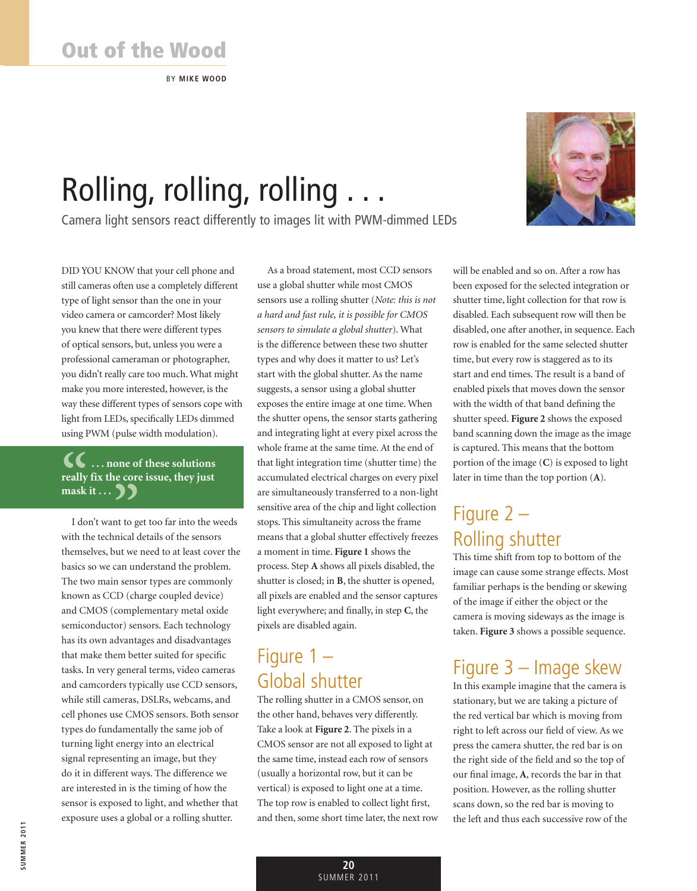BY **Mike Wood**

# Rolling, rolling, rolling . . .

Camera light sensors react differently to images lit with PWM-dimmed LEDs



DID YOU KNOW that your cell phone and still cameras often use a completely different type of light sensor than the one in your video camera or camcorder? Most likely you knew that there were different types of optical sensors, but, unless you were a professional cameraman or photographer, you didn't really care too much. What might make you more interested, however, is the way these different types of sensors cope with light from LEDs, specifically LEDs dimmed using PWM (pulse width modulation).

#### **1** ... none of these solutions<br>
really fix the core issue, they just<br>
mask it ... <br> **3 really fix the core issue, they just mask it . . . "**

I don't want to get too far into the weeds with the technical details of the sensors themselves, but we need to at least cover the basics so we can understand the problem. The two main sensor types are commonly known as CCD (charge coupled device) and CMOS (complementary metal oxide semiconductor) sensors. Each technology has its own advantages and disadvantages that make them better suited for specific tasks. In very general terms, video cameras and camcorders typically use CCD sensors, while still cameras, DSLRs, webcams, and cell phones use CMOS sensors. Both sensor types do fundamentally the same job of turning light energy into an electrical signal representing an image, but they do it in different ways. The difference we are interested in is the timing of how the sensor is exposed to light, and whether that exposure uses a global or a rolling shutter.

As a broad statement, most CCD sensors use a global shutter while most CMOS sensors use a rolling shutter (*Note: this is not a hard and fast rule, it is possible for CMOS sensors to simulate a global shutter*). What is the difference between these two shutter types and why does it matter to us? Let's start with the global shutter. As the name suggests, a sensor using a global shutter exposes the entire image at one time. When the shutter opens, the sensor starts gathering and integrating light at every pixel across the whole frame at the same time. At the end of that light integration time (shutter time) the accumulated electrical charges on every pixel are simultaneously transferred to a non-light sensitive area of the chip and light collection stops. This simultaneity across the frame means that a global shutter effectively freezes a moment in time. **Figure 1** shows the process. Step **A** shows all pixels disabled, the shutter is closed; in **B**, the shutter is opened, all pixels are enabled and the sensor captures light everywhere; and finally, in step **C**, the pixels are disabled again.

## Figure 1 – Global shutter

The rolling shutter in a CMOS sensor, on the other hand, behaves very differently. Take a look at **Figure 2**. The pixels in a CMOS sensor are not all exposed to light at the same time, instead each row of sensors (usually a horizontal row, but it can be vertical) is exposed to light one at a time. The top row is enabled to collect light first, and then, some short time later, the next row will be enabled and so on. After a row has been exposed for the selected integration or shutter time, light collection for that row is disabled. Each subsequent row will then be disabled, one after another, in sequence. Each row is enabled for the same selected shutter time, but every row is staggered as to its start and end times. The result is a band of enabled pixels that moves down the sensor with the width of that band defining the shutter speed. **Figure 2** shows the exposed band scanning down the image as the image is captured. This means that the bottom portion of the image (**C**) is exposed to light later in time than the top portion (**A**).

# Figure 2 – Rolling shutter

This time shift from top to bottom of the image can cause some strange effects. Most familiar perhaps is the bending or skewing of the image if either the object or the camera is moving sideways as the image is taken. **Figure 3** shows a possible sequence.

### Figure 3 – Image skew

In this example imagine that the camera is stationary, but we are taking a picture of the red vertical bar which is moving from right to left across our field of view. As we press the camera shutter, the red bar is on the right side of the field and so the top of our final image, **A**, records the bar in that position. However, as the rolling shutter scans down, so the red bar is moving to the left and thus each successive row of the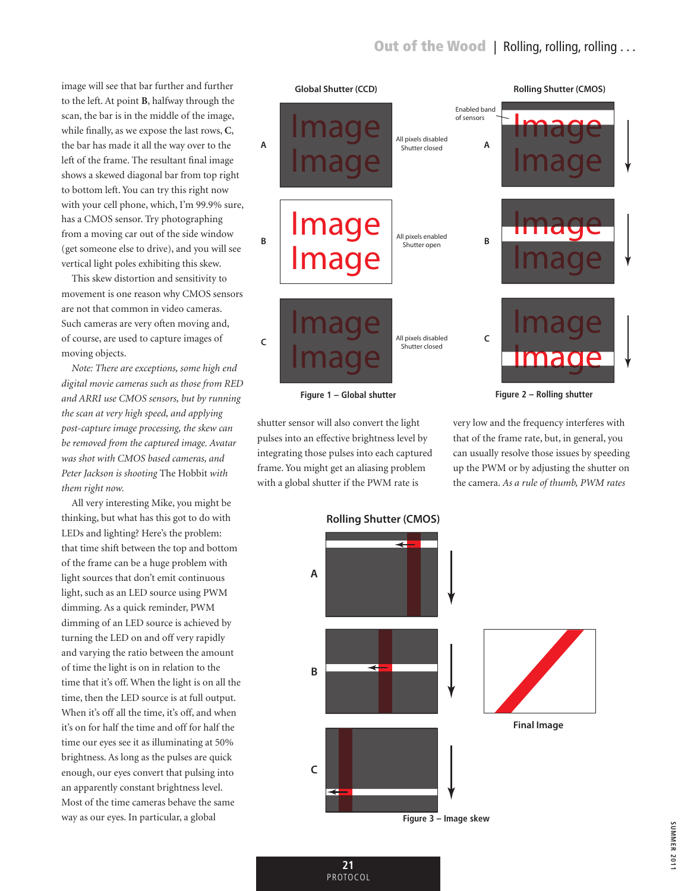image will see that bar further and further to the left. At point **B**, halfway through the scan, the bar is in the middle of the image, while finally, as we expose the last rows, **C**, the bar has made it all the way over to the left of the frame. The resultant final image shows a skewed diagonal bar from top right to bottom left. You can try this right now with your cell phone, which, I'm 99.9% sure, has a CMOS sensor. Try photographing from a moving car out of the side window (get someone else to drive), and you will see vertical light poles exhibiting this skew.

This skew distortion and sensitivity to movement is one reason why CMOS sensors are not that common in video cameras. Such cameras are very often moving and, of course, are used to capture images of moving objects.

*Note: There are exceptions, some high end digital movie cameras such as those from RED and Arri use CMOS sensors, but by running the scan at very high speed, and applying post-capture image processing, the skew can be removed from the captured image. Avatar was shot with CMOS based cameras, and Peter Jackson is shooting* The Hobbit *with them right now.*

All very interesting Mike, you might be thinking, but what has this got to do with LEDs and lighting? Here's the problem: that time shift between the top and bottom of the frame can be a huge problem with light sources that don't emit continuous light, such as an LED source using PWM dimming. As a quick reminder, PWM dimming of an LED source is achieved by turning the LED on and off very rapidly and varying the ratio between the amount of time the light is on in relation to the time that it's off. When the light is on all the time, then the LED source is at full output. When it's off all the time, it's off, and when it's on for half the time and off for half the time our eyes see it as illuminating at 50% brightness. As long as the pulses are quick enough, our eyes convert that pulsing into an apparently constant brightness level. Most of the time cameras behave the same way as our eyes. In particular, a global



**Figure 1 – Global shutter**

shutter sensor will also convert the light pulses into an effective brightness level by integrating those pulses into each captured frame. You might get an aliasing problem with a global shutter if the PWM rate is

> **21**  PROTOCOL

very low and the frequency interferes with that of the frame rate, but, in general, you can usually resolve those issues by speeding up the PWM or by adjusting the shutter on the camera. *As a rule of thumb, PWM rates* 

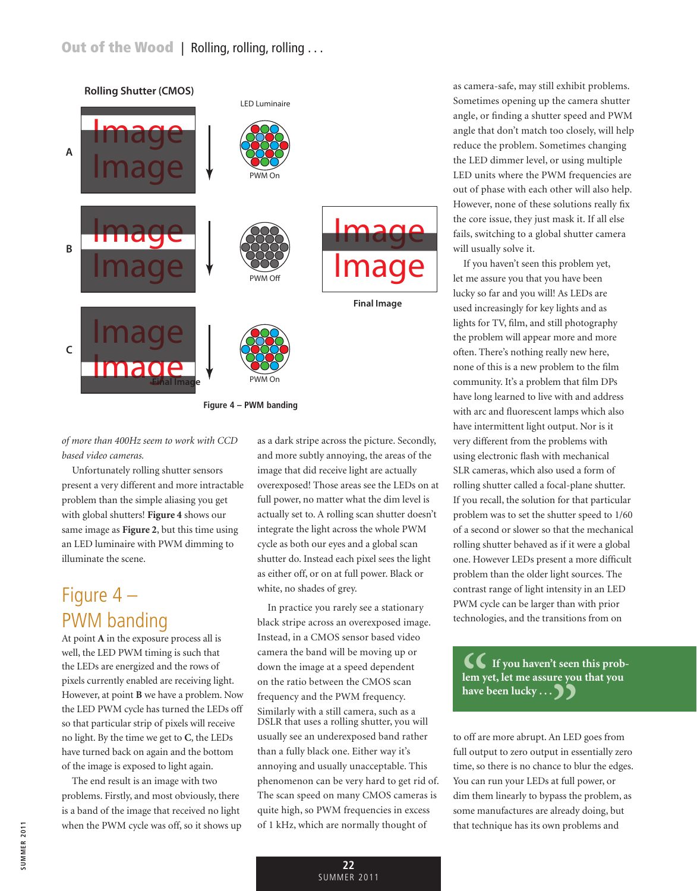

*of more than 400Hz seem to work with CCD based video cameras.*

Unfortunately rolling shutter sensors present a very different and more intractable problem than the simple aliasing you get with global shutters! **Figure 4** shows our same image as **Figure 2**, but this time using an LED luminaire with PWM dimming to illuminate the scene.

#### Figure 4 – PWM banding

At point **A** in the exposure process all is well, the LED PWM timing is such that the LEDs are energized and the rows of pixels currently enabled are receiving light. However, at point **B** we have a problem. Now the LED PWM cycle has turned the LEDs off so that particular strip of pixels will receive no light. By the time we get to **C**, the LEDs have turned back on again and the bottom of the image is exposed to light again.

The end result is an image with two problems. Firstly, and most obviously, there is a band of the image that received no light when the PWM cycle was off, so it shows up

as a dark stripe across the picture. Secondly, and more subtly annoying, the areas of the image that did receive light are actually overexposed! Those areas see the LEDs on at full power, no matter what the dim level is actually set to. A rolling scan shutter doesn't integrate the light across the whole PWM cycle as both our eyes and a global scan shutter do. Instead each pixel sees the light as either off, or on at full power. Black or white, no shades of grey.

In practice you rarely see a stationary black stripe across an overexposed image. Instead, in a CMOS sensor based video camera the band will be moving up or down the image at a speed dependent on the ratio between the CMOS scan frequency and the PWM frequency. Similarly with a still camera, such as a DSLR that uses a rolling shutter, you will usually see an underexposed band rather than a fully black one. Either way it's annoying and usually unacceptable. This phenomenon can be very hard to get rid of. The scan speed on many CMOS cameras is quite high, so PWM frequencies in excess of 1 kHz, which are normally thought of

as camera-safe, may still exhibit problems. Sometimes opening up the camera shutter angle, or finding a shutter speed and PWM angle that don't match too closely, will help reduce the problem. Sometimes changing the LED dimmer level, or using multiple LED units where the PWM frequencies are out of phase with each other will also help. However, none of these solutions really fix the core issue, they just mask it. If all else fails, switching to a global shutter camera will usually solve it.

If you haven't seen this problem yet, let me assure you that you have been lucky so far and you will! As LEDs are used increasingly for key lights and as lights for TV, film, and still photography the problem will appear more and more often. There's nothing really new here, none of this is a new problem to the film community. It's a problem that film DPs have long learned to live with and address with arc and fluorescent lamps which also have intermittent light output. Nor is it very different from the problems with using electronic flash with mechanical SLR cameras, which also used a form of rolling shutter called a focal-plane shutter. If you recall, the solution for that particular problem was to set the shutter speed to 1/60 of a second or slower so that the mechanical rolling shutter behaved as if it were a global one. However LEDs present a more difficult problem than the older light sources. The contrast range of light intensity in an LED PWM cycle can be larger than with prior technologies, and the transitions from on

 **If you haven't seen this problem yet, let me assure you that you have been lucky . . . (C** If you haven't seen<br>lem yet, let me assure you<br>have been lucky . . . )

to off are more abrupt. An LED goes from full output to zero output in essentially zero time, so there is no chance to blur the edges. You can run your LEDs at full power, or dim them linearly to bypass the problem, as some manufactures are already doing, but that technique has its own problems and